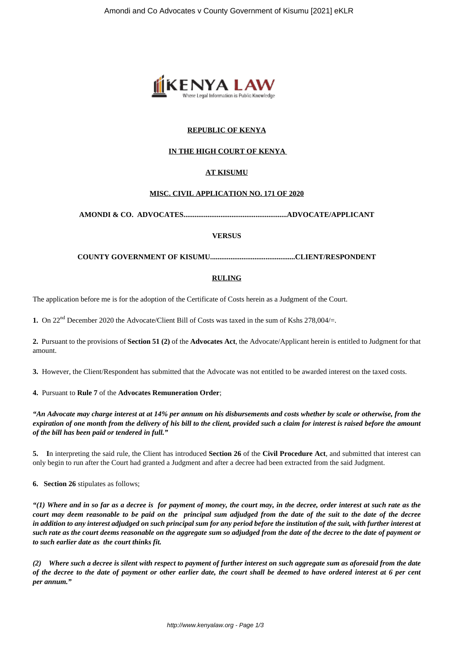

# **REPUBLIC OF KENYA**

# **IN THE HIGH COURT OF KENYA**

# **AT KISUMU**

## **MISC. CIVIL APPLICATION NO. 171 OF 2020**

**AMONDI & CO. ADVOCATES........................................................ADVOCATE/APPLICANT**

#### **VERSUS**

**COUNTY GOVERNMENT OF KISUMU..............................................CLIENT/RESPONDENT**

#### **RULING**

The application before me is for the adoption of the Certificate of Costs herein as a Judgment of the Court.

**1.** On 22<sup>nd</sup> December 2020 the Advocate/Client Bill of Costs was taxed in the sum of Kshs 278,004/=.

**2.** Pursuant to the provisions of **Section 51 (2)** of the **Advocates Act**, the Advocate/Applicant herein is entitled to Judgment for that amount.

**3.** However, the Client/Respondent has submitted that the Advocate was not entitled to be awarded interest on the taxed costs.

#### **4.** Pursuant to **Rule 7** of the **Advocates Remuneration Order**;

*"An Advocate may charge interest at at 14% per annum on his disbursements and costs whether by scale or otherwise, from the expiration of one month from the delivery of his bill to the client, provided such a claim for interest is raised before the amount of the bill has been paid or tendered in full."*

**5. I**n interpreting the said rule, the Client has introduced **Section 26** of the **Civil Procedure Act**, and submitted that interest can only begin to run after the Court had granted a Judgment and after a decree had been extracted from the said Judgment.

**6. Section 26** stipulates as follows;

*"(1) Where and in so far as a decree is for payment of money, the court may, in the decree, order interest at such rate as the court may deem reasonable to be paid on the principal sum adjudged from the date of the suit to the date of the decree in addition to any interest adjudged on such principal sum for any period before the institution of the suit, with further interest at such rate as the court deems reasonable on the aggregate sum so adjudged from the date of the decree to the date of payment or to such earlier date as the court thinks fit.*

*(2) Where such a decree is silent with respect to payment of further interest on such aggregate sum as aforesaid from the date of the decree to the date of payment or other earlier date, the court shall be deemed to have ordered interest at 6 per cent per annum."*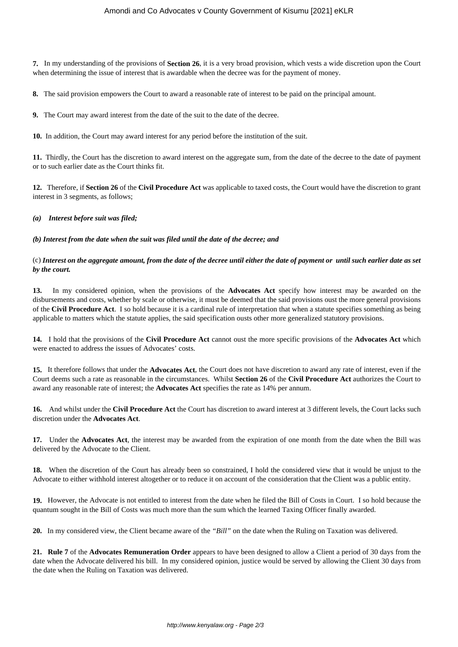**7.** In my understanding of the provisions of **Section 26**, it is a very broad provision, which vests a wide discretion upon the Court when determining the issue of interest that is awardable when the decree was for the payment of money.

**8.** The said provision empowers the Court to award a reasonable rate of interest to be paid on the principal amount.

**9.** The Court may award interest from the date of the suit to the date of the decree.

**10.** In addition, the Court may award interest for any period before the institution of the suit.

**11.** Thirdly, the Court has the discretion to award interest on the aggregate sum, from the date of the decree to the date of payment or to such earlier date as the Court thinks fit.

**12.** Therefore, if **Section 26** of the **Civil Procedure Act** was applicable to taxed costs, the Court would have the discretion to grant interest in 3 segments, as follows;

## *(a) Interest before suit was filed;*

#### *(b) Interest from the date when the suit was filed until the date of the decree; and*

## (c) *Interest on the aggregate amount, from the date of the decree until either the date of payment or until such earlier date as set by the court.*

**13.** In my considered opinion, when the provisions of the **Advocates Act** specify how interest may be awarded on the disbursements and costs, whether by scale or otherwise, it must be deemed that the said provisions oust the more general provisions of the **Civil Procedure Act**. I so hold because it is a cardinal rule of interpretation that when a statute specifies something as being applicable to matters which the statute applies, the said specification ousts other more generalized statutory provisions.

**14.** I hold that the provisions of the **Civil Procedure Act** cannot oust the more specific provisions of the **Advocates Act** which were enacted to address the issues of Advocates' costs.

**15.** It therefore follows that under the **Advocates Act**, the Court does not have discretion to award any rate of interest, even if the Court deems such a rate as reasonable in the circumstances. Whilst **Section 26** of the **Civil Procedure Act** authorizes the Court to award any reasonable rate of interest; the **Advocates Act** specifies the rate as 14% per annum.

**16.** And whilst under the **Civil Procedure Act** the Court has discretion to award interest at 3 different levels, the Court lacks such discretion under the **Advocates Act**.

**17.** Under the **Advocates Act**, the interest may be awarded from the expiration of one month from the date when the Bill was delivered by the Advocate to the Client.

**18.** When the discretion of the Court has already been so constrained, I hold the considered view that it would be unjust to the Advocate to either withhold interest altogether or to reduce it on account of the consideration that the Client was a public entity.

**19.** However, the Advocate is not entitled to interest from the date when he filed the Bill of Costs in Court. I so hold because the quantum sought in the Bill of Costs was much more than the sum which the learned Taxing Officer finally awarded.

**20.** In my considered view, the Client became aware of the *"Bill"* on the date when the Ruling on Taxation was delivered.

**21. Rule 7** of the **Advocates Remuneration Order** appears to have been designed to allow a Client a period of 30 days from the date when the Advocate delivered his bill. In my considered opinion, justice would be served by allowing the Client 30 days from the date when the Ruling on Taxation was delivered.